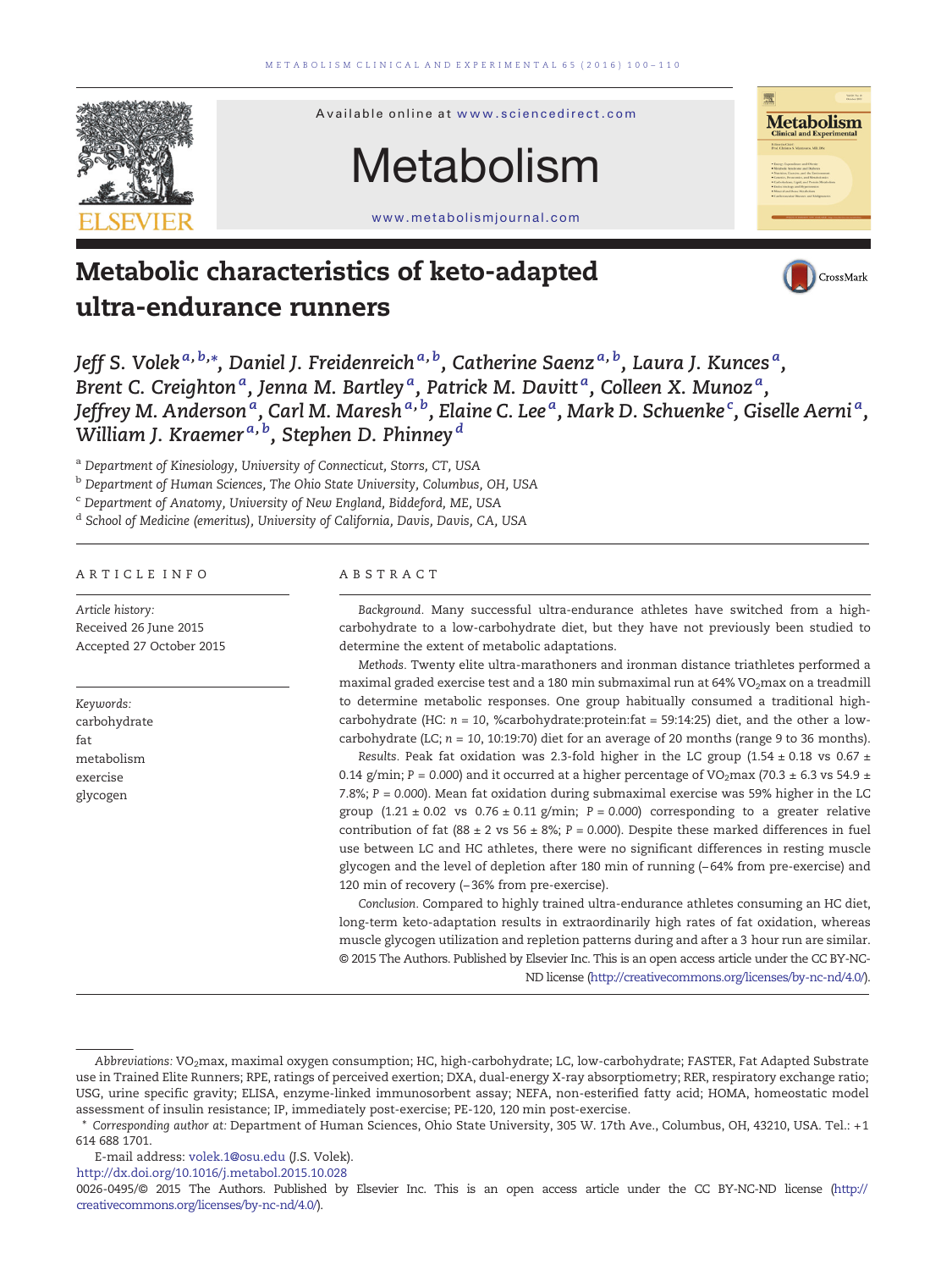

# Metabolism

Available online at [www.sciencedirect.com](http://www.sciencedirect.com/science/journal/00260495)

www.metabolismjournal.com



## Metabolic characteristics of keto-adapted ultra-endurance runners



Jeff S. Volek $^{a,\,b,\ast},$  Daniel J. Freidenreich $^{a,\,b}$ , Catherine Saenz $^{a,\,b}$ , Laura J. Kunces $^a$ , Brent C. Creighton  ${}^a$ , Jenna M. Bartley  ${}^a$ , Patrick M. Davitt  ${}^a$ , Colleen X. Munoz  ${}^a$ , Jeffrey M. Anderson <sup>a</sup>, Carl M. Maresh <sup>a, b</sup>, Elaine C. Lee <sup>a</sup>, Mark D. Schuenke <sup>c</sup>, Giselle Aerni <sup>a</sup>, William J. Kraemer $^{\scriptsize a,\,\rm b}$ , Stephen D. Phinney $^{\scriptsize d}$ 

a Department of Kinesiology, University of Connecticut, Storrs, CT, USA

<sup>b</sup> Department of Human Sciences, The Ohio State University, Columbus, OH, USA

<sup>c</sup> Department of Anatomy, University of New England, Biddeford, ME, USA

<sup>d</sup> School of Medicine (emeritus), University of California, Davis, Davis, CA, USA

#### ARTICLE INFO ABSTRACT

Article history: Received 26 June 2015 Accepted 27 October 2015

Keywords: carbohydrate fat metabolism exercise glycogen

Background. Many successful ultra-endurance athletes have switched from a highcarbohydrate to a low-carbohydrate diet, but they have not previously been studied to determine the extent of metabolic adaptations.

Methods. Twenty elite ultra-marathoners and ironman distance triathletes performed a maximal graded exercise test and a 180 min submaximal run at 64% VO<sub>2</sub>max on a treadmill to determine metabolic responses. One group habitually consumed a traditional highcarbohydrate (HC:  $n = 10$ , %carbohydrate:protein:fat = 59:14:25) diet, and the other a lowcarbohydrate (LC;  $n = 10$ , 10:19:70) diet for an average of 20 months (range 9 to 36 months).

Results. Peak fat oxidation was 2.3-fold higher in the LC group (1.54  $\pm$  0.18 vs 0.67  $\pm$ 0.14 g/min; P = 0.000) and it occurred at a higher percentage of VO<sub>2</sub>max (70.3  $\pm$  6.3 vs 54.9  $\pm$ 7.8%; P = 0.000). Mean fat oxidation during submaximal exercise was 59% higher in the LC group  $(1.21 \pm 0.02 \text{ vs } 0.76 \pm 0.11 \text{ g/min}; P = 0.000)$  corresponding to a greater relative contribution of fat (88 ± 2 vs 56 ± 8%; P = 0.000). Despite these marked differences in fuel use between LC and HC athletes, there were no significant differences in resting muscle glycogen and the level of depletion after 180 min of running (−64% from pre-exercise) and 120 min of recovery (−36% from pre-exercise).

Conclusion. Compared to highly trained ultra-endurance athletes consuming an HC diet, long-term keto-adaptation results in extraordinarily high rates of fat oxidation, whereas muscle glycogen utilization and repletion patterns during and after a 3 hour run are similar. © 2015 The Authors. Published by Elsevier Inc. This is an open access article under the CC BY-NC-ND license (http://creativecommons.org/licenses/by-nc-nd/4.0/).

E-mail address: [volek.1@osu.edu](mailto:volek.1@osu.edu) (J.S. Volek).

<http://dx.doi.org/10.1016/j.metabol.2015.10.028>

0026-0495/© 2015 The Authors. Published by Elsevier Inc. This is an open access article under the CC BY-NC-ND license (http:// creativecommons.org/licenses/by-nc-nd/4.0/).

Abbreviations: VO<sub>2</sub>max, maximal oxygen consumption; HC, high-carbohydrate; LC, low-carbohydrate; FASTER, Fat Adapted Substrate use in Trained Elite Runners; RPE, ratings of perceived exertion; DXA, dual-energy X-ray absorptiometry; RER, respiratory exchange ratio; USG, urine specific gravity; ELISA, enzyme-linked immunosorbent assay; NEFA, non-esterified fatty acid; HOMA, homeostatic model assessment of insulin resistance; IP, immediately post-exercise; PE-120, 120 min post-exercise.

Corresponding author at: Department of Human Sciences, Ohio State University, 305 W. 17th Ave., Columbus, OH, 43210, USA. Tel.: +1 614 688 1701.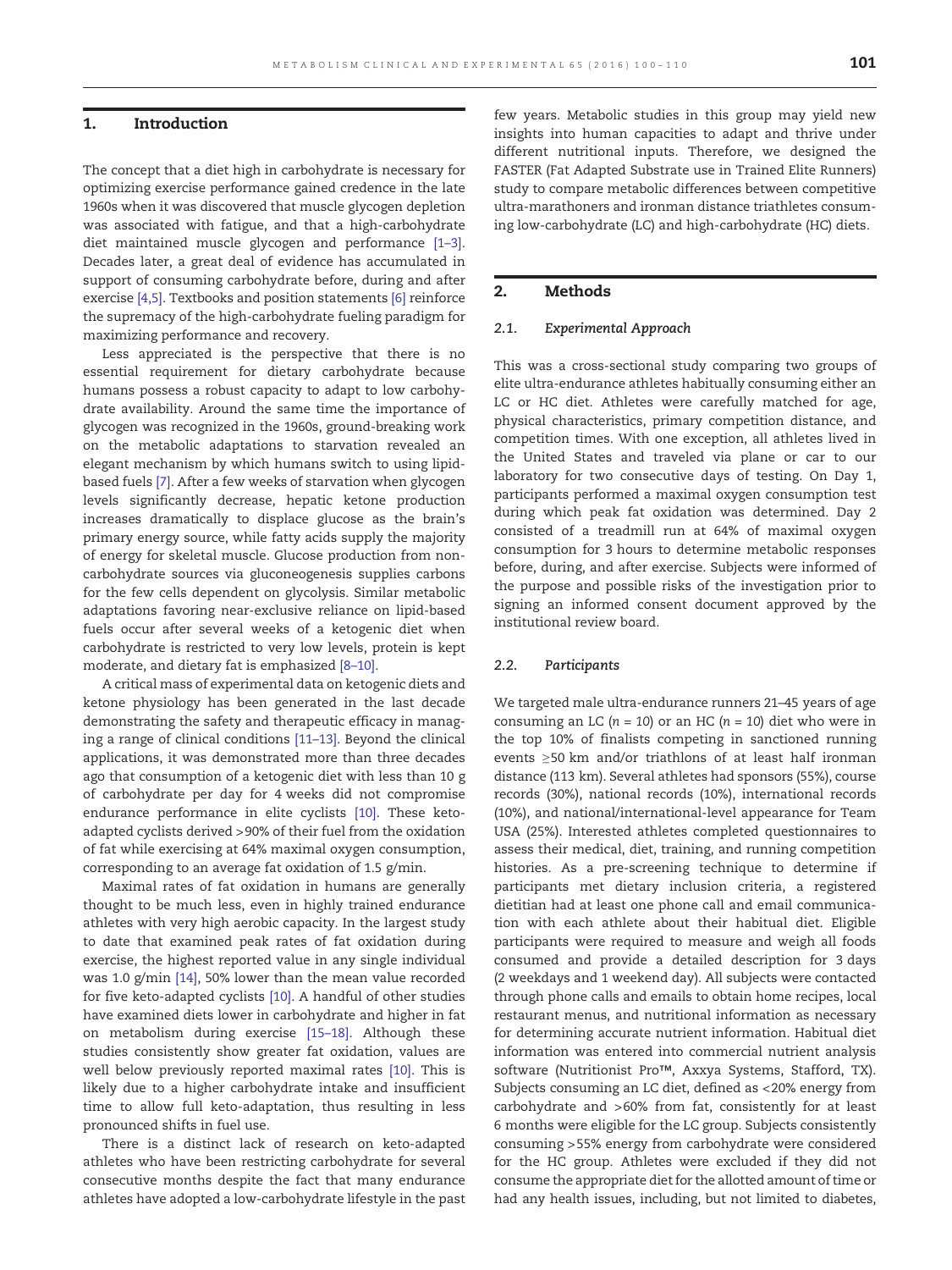#### 1. Introduction

The concept that a diet high in carbohydrate is necessary for optimizing exercise performance gained credence in the late 1960s when it was discovered that muscle glycogen depletion was associated with fatigue, and that a high-carbohydrate diet maintained muscle glycogen and performance [\[1](#page-9-0)–3]. Decades later, a great deal of evidence has accumulated in support of consuming carbohydrate before, during and after exercise [\[4,5\]](#page-9-0). Textbooks and position statements [\[6\]](#page-9-0) reinforce the supremacy of the high-carbohydrate fueling paradigm for maximizing performance and recovery.

Less appreciated is the perspective that there is no essential requirement for dietary carbohydrate because humans possess a robust capacity to adapt to low carbohydrate availability. Around the same time the importance of glycogen was recognized in the 1960s, ground-breaking work on the metabolic adaptations to starvation revealed an elegant mechanism by which humans switch to using lipidbased fuels [\[7\].](#page-9-0) After a few weeks of starvation when glycogen levels significantly decrease, hepatic ketone production increases dramatically to displace glucose as the brain's primary energy source, while fatty acids supply the majority of energy for skeletal muscle. Glucose production from noncarbohydrate sources via gluconeogenesis supplies carbons for the few cells dependent on glycolysis. Similar metabolic adaptations favoring near-exclusive reliance on lipid-based fuels occur after several weeks of a ketogenic diet when carbohydrate is restricted to very low levels, protein is kept moderate, and dietary fat is emphasized [8–[10\]](#page-9-0).

A critical mass of experimental data on ketogenic diets and ketone physiology has been generated in the last decade demonstrating the safety and therapeutic efficacy in managing a range of clinical conditions [\[11](#page-9-0)–13]. Beyond the clinical applications, it was demonstrated more than three decades ago that consumption of a ketogenic diet with less than 10 g of carbohydrate per day for 4 weeks did not compromise endurance performance in elite cyclists [\[10\].](#page-9-0) These ketoadapted cyclists derived >90% of their fuel from the oxidation of fat while exercising at 64% maximal oxygen consumption, corresponding to an average fat oxidation of 1.5 g/min.

Maximal rates of fat oxidation in humans are generally thought to be much less, even in highly trained endurance athletes with very high aerobic capacity. In the largest study to date that examined peak rates of fat oxidation during exercise, the highest reported value in any single individual was 1.0 g/min [\[14\]](#page-9-0), 50% lower than the mean value recorded for five keto-adapted cyclists [\[10\].](#page-9-0) A handful of other studies have examined diets lower in carbohydrate and higher in fat on metabolism during exercise [15–[18\].](#page-9-0) Although these studies consistently show greater fat oxidation, values are well below previously reported maximal rates [\[10\].](#page-9-0) This is likely due to a higher carbohydrate intake and insufficient time to allow full keto-adaptation, thus resulting in less pronounced shifts in fuel use.

There is a distinct lack of research on keto-adapted athletes who have been restricting carbohydrate for several consecutive months despite the fact that many endurance athletes have adopted a low-carbohydrate lifestyle in the past

few years. Metabolic studies in this group may yield new insights into human capacities to adapt and thrive under different nutritional inputs. Therefore, we designed the FASTER (Fat Adapted Substrate use in Trained Elite Runners) study to compare metabolic differences between competitive ultra-marathoners and ironman distance triathletes consuming low-carbohydrate (LC) and high-carbohydrate (HC) diets.

#### 2. Methods

#### 2.1. Experimental Approach

This was a cross-sectional study comparing two groups of elite ultra-endurance athletes habitually consuming either an LC or HC diet. Athletes were carefully matched for age, physical characteristics, primary competition distance, and competition times. With one exception, all athletes lived in the United States and traveled via plane or car to our laboratory for two consecutive days of testing. On Day 1, participants performed a maximal oxygen consumption test during which peak fat oxidation was determined. Day 2 consisted of a treadmill run at 64% of maximal oxygen consumption for 3 hours to determine metabolic responses before, during, and after exercise. Subjects were informed of the purpose and possible risks of the investigation prior to signing an informed consent document approved by the institutional review board.

#### 2.2. Participants

We targeted male ultra-endurance runners 21–45 years of age consuming an LC ( $n = 10$ ) or an HC ( $n = 10$ ) diet who were in the top 10% of finalists competing in sanctioned running events ≥50 km and/or triathlons of at least half ironman distance (113 km). Several athletes had sponsors (55%), course records (30%), national records (10%), international records (10%), and national/international-level appearance for Team USA (25%). Interested athletes completed questionnaires to assess their medical, diet, training, and running competition histories. As a pre-screening technique to determine if participants met dietary inclusion criteria, a registered dietitian had at least one phone call and email communication with each athlete about their habitual diet. Eligible participants were required to measure and weigh all foods consumed and provide a detailed description for 3 days (2 weekdays and 1 weekend day). All subjects were contacted through phone calls and emails to obtain home recipes, local restaurant menus, and nutritional information as necessary for determining accurate nutrient information. Habitual diet information was entered into commercial nutrient analysis software (Nutritionist Pro™, Axxya Systems, Stafford, TX). Subjects consuming an LC diet, defined as <20% energy from carbohydrate and >60% from fat, consistently for at least 6 months were eligible for the LC group. Subjects consistently consuming >55% energy from carbohydrate were considered for the HC group. Athletes were excluded if they did not consume the appropriate diet for the allotted amount of time or had any health issues, including, but not limited to diabetes,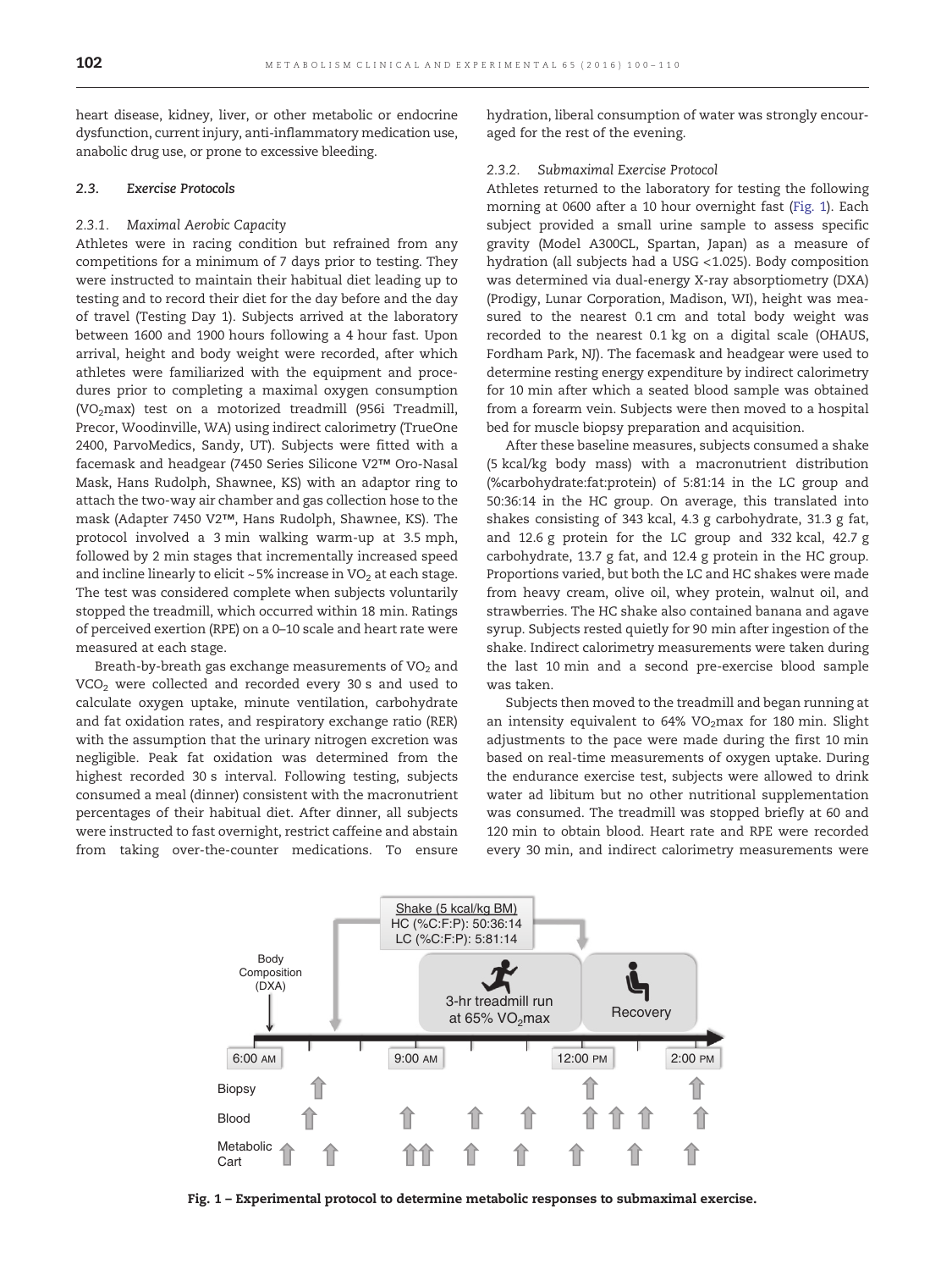<span id="page-2-0"></span>heart disease, kidney, liver, or other metabolic or endocrine dysfunction, current injury, anti-inflammatory medication use, anabolic drug use, or prone to excessive bleeding.

#### 2.3. Exercise Protocols

#### 2.3.1. Maximal Aerobic Capacity

Athletes were in racing condition but refrained from any competitions for a minimum of 7 days prior to testing. They were instructed to maintain their habitual diet leading up to testing and to record their diet for the day before and the day of travel (Testing Day 1). Subjects arrived at the laboratory between 1600 and 1900 hours following a 4 hour fast. Upon arrival, height and body weight were recorded, after which athletes were familiarized with the equipment and procedures prior to completing a maximal oxygen consumption (VO<sub>2</sub>max) test on a motorized treadmill (956i Treadmill, Precor, Woodinville, WA) using indirect calorimetry (TrueOne 2400, ParvoMedics, Sandy, UT). Subjects were fitted with a facemask and headgear (7450 Series Silicone V2™ Oro-Nasal Mask, Hans Rudolph, Shawnee, KS) with an adaptor ring to attach the two-way air chamber and gas collection hose to the mask (Adapter 7450 V2™, Hans Rudolph, Shawnee, KS). The protocol involved a 3 min walking warm-up at 3.5 mph, followed by 2 min stages that incrementally increased speed and incline linearly to elicit ~5% increase in  $VO<sub>2</sub>$  at each stage. The test was considered complete when subjects voluntarily stopped the treadmill, which occurred within 18 min. Ratings of perceived exertion (RPE) on a 0–10 scale and heart rate were measured at each stage.

Breath-by-breath gas exchange measurements of  $VO<sub>2</sub>$  and  $VCO<sub>2</sub>$  were collected and recorded every 30 s and used to calculate oxygen uptake, minute ventilation, carbohydrate and fat oxidation rates, and respiratory exchange ratio (RER) with the assumption that the urinary nitrogen excretion was negligible. Peak fat oxidation was determined from the highest recorded 30 s interval. Following testing, subjects consumed a meal (dinner) consistent with the macronutrient percentages of their habitual diet. After dinner, all subjects were instructed to fast overnight, restrict caffeine and abstain from taking over-the-counter medications. To ensure

hydration, liberal consumption of water was strongly encouraged for the rest of the evening.

#### 2.3.2. Submaximal Exercise Protocol

Athletes returned to the laboratory for testing the following morning at 0600 after a 10 hour overnight fast (Fig. 1). Each subject provided a small urine sample to assess specific gravity (Model A300CL, Spartan, Japan) as a measure of hydration (all subjects had a USG <1.025). Body composition was determined via dual-energy X-ray absorptiometry (DXA) (Prodigy, Lunar Corporation, Madison, WI), height was measured to the nearest 0.1 cm and total body weight was recorded to the nearest 0.1 kg on a digital scale (OHAUS, Fordham Park, NJ). The facemask and headgear were used to determine resting energy expenditure by indirect calorimetry for 10 min after which a seated blood sample was obtained from a forearm vein. Subjects were then moved to a hospital bed for muscle biopsy preparation and acquisition.

After these baseline measures, subjects consumed a shake (5 kcal/kg body mass) with a macronutrient distribution (%carbohydrate:fat:protein) of 5:81:14 in the LC group and 50:36:14 in the HC group. On average, this translated into shakes consisting of 343 kcal, 4.3 g carbohydrate, 31.3 g fat, and 12.6 g protein for the LC group and 332 kcal, 42.7 g carbohydrate, 13.7 g fat, and 12.4 g protein in the HC group. Proportions varied, but both the LC and HC shakes were made from heavy cream, olive oil, whey protein, walnut oil, and strawberries. The HC shake also contained banana and agave syrup. Subjects rested quietly for 90 min after ingestion of the shake. Indirect calorimetry measurements were taken during the last 10 min and a second pre-exercise blood sample was taken.

Subjects then moved to the treadmill and began running at an intensity equivalent to  $64\%$  VO<sub>2</sub>max for 180 min. Slight adjustments to the pace were made during the first 10 min based on real-time measurements of oxygen uptake. During the endurance exercise test, subjects were allowed to drink water ad libitum but no other nutritional supplementation was consumed. The treadmill was stopped briefly at 60 and 120 min to obtain blood. Heart rate and RPE were recorded every 30 min, and indirect calorimetry measurements were



Fig. 1 – Experimental protocol to determine metabolic responses to submaximal exercise.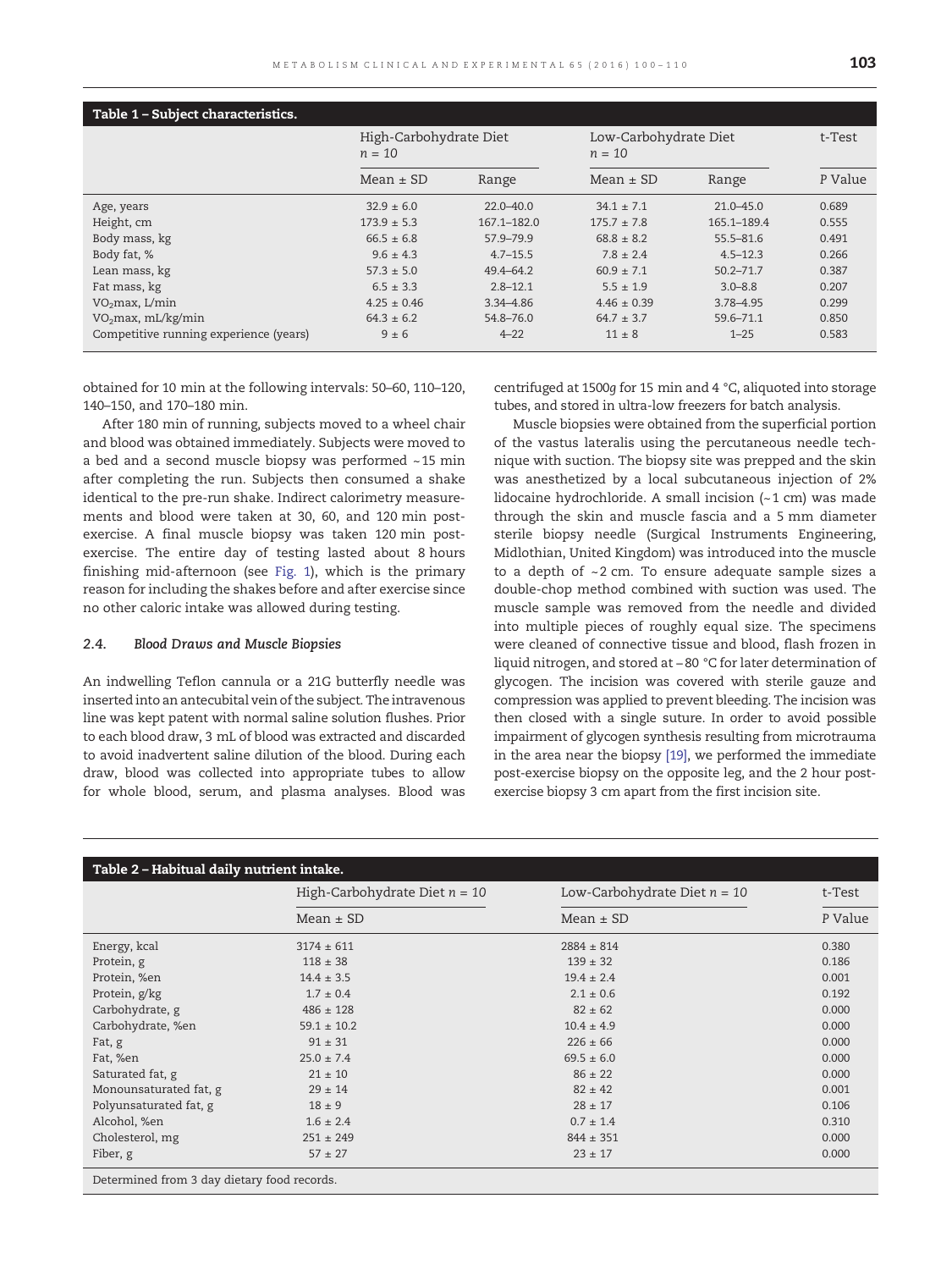<span id="page-3-0"></span>

| Table 1 - Subject characteristics.     |                                    |                 |                                   |               |         |  |  |
|----------------------------------------|------------------------------------|-----------------|-----------------------------------|---------------|---------|--|--|
|                                        | High-Carbohydrate Diet<br>$n = 10$ |                 | Low-Carbohydrate Diet<br>$n = 10$ |               | t-Test  |  |  |
|                                        | $Mean \pm SD$                      | Range           | $Mean \pm SD$                     | Range         | P Value |  |  |
| Age, years                             | $32.9 \pm 6.0$                     | $22.0 - 40.0$   | $34.1 \pm 7.1$                    | $21.0 - 45.0$ | 0.689   |  |  |
| Height, cm                             | $173.9 \pm 5.3$                    | $167.1 - 182.0$ | $175.7 \pm 7.8$                   | 165.1-189.4   | 0.555   |  |  |
| Body mass, kg                          | $66.5 \pm 6.8$                     | 57.9-79.9       | $68.8 \pm 8.2$                    | 55.5-81.6     | 0.491   |  |  |
| Body fat, %                            | $9.6 \pm 4.3$                      | $4.7 - 15.5$    | $7.8 \pm 2.4$                     | $4.5 - 12.3$  | 0.266   |  |  |
| Lean mass, kg                          | $57.3 \pm 5.0$                     | 49.4-64.2       | $60.9 \pm 7.1$                    | $50.2 - 71.7$ | 0.387   |  |  |
| Fat mass, kg                           | $6.5 \pm 3.3$                      | $2.8 - 12.1$    | $5.5 \pm 1.9$                     | $3.0 - 8.8$   | 0.207   |  |  |
| VO <sub>2</sub> max, L/min             | $4.25 \pm 0.46$                    | 3.34 - 4.86     | $4.46 \pm 0.39$                   | 3.78-4.95     | 0.299   |  |  |
| VO <sub>2</sub> max, mL/kg/min         | $64.3 \pm 6.2$                     | 54.8-76.0       | $64.7 \pm 3.7$                    | 59.6-71.1     | 0.850   |  |  |
| Competitive running experience (years) | $9 \pm 6$                          | $4 - 22$        | $11 + 8$                          | $1 - 25$      | 0.583   |  |  |

obtained for 10 min at the following intervals: 50–60, 110–120, 140–150, and 170–180 min.

After 180 min of running, subjects moved to a wheel chair and blood was obtained immediately. Subjects were moved to a bed and a second muscle biopsy was performed ~15 min after completing the run. Subjects then consumed a shake identical to the pre-run shake. Indirect calorimetry measurements and blood were taken at 30, 60, and 120 min postexercise. A final muscle biopsy was taken 120 min postexercise. The entire day of testing lasted about 8 hours finishing mid-afternoon (see [Fig. 1\)](#page-2-0), which is the primary reason for including the shakes before and after exercise since no other caloric intake was allowed during testing.

#### 2.4. Blood Draws and Muscle Biopsies

An indwelling Teflon cannula or a 21G butterfly needle was inserted into an antecubital vein of the subject. The intravenous line was kept patent with normal saline solution flushes. Prior to each blood draw, 3 mL of blood was extracted and discarded to avoid inadvertent saline dilution of the blood. During each draw, blood was collected into appropriate tubes to allow for whole blood, serum, and plasma analyses. Blood was centrifuged at 1500g for 15 min and 4 °C, aliquoted into storage tubes, and stored in ultra-low freezers for batch analysis.

Muscle biopsies were obtained from the superficial portion of the vastus lateralis using the percutaneous needle technique with suction. The biopsy site was prepped and the skin was anesthetized by a local subcutaneous injection of 2% lidocaine hydrochloride. A small incision (~1 cm) was made through the skin and muscle fascia and a 5 mm diameter sterile biopsy needle (Surgical Instruments Engineering, Midlothian, United Kingdom) was introduced into the muscle to a depth of ~2 cm. To ensure adequate sample sizes a double-chop method combined with suction was used. The muscle sample was removed from the needle and divided into multiple pieces of roughly equal size. The specimens were cleaned of connective tissue and blood, flash frozen in liquid nitrogen, and stored at −80 °C for later determination of glycogen. The incision was covered with sterile gauze and compression was applied to prevent bleeding. The incision was then closed with a single suture. In order to avoid possible impairment of glycogen synthesis resulting from microtrauma in the area near the biopsy [\[19\],](#page-10-0) we performed the immediate post-exercise biopsy on the opposite leg, and the 2 hour postexercise biopsy 3 cm apart from the first incision site.

| Table 2 - Habitual daily nutrient intake. |                                 |                                |         |  |  |  |
|-------------------------------------------|---------------------------------|--------------------------------|---------|--|--|--|
|                                           | High-Carbohydrate Diet $n = 10$ | Low-Carbohydrate Diet $n = 10$ | t-Test  |  |  |  |
|                                           | $Mean \pm SD$                   | $Mean \pm SD$                  | P Value |  |  |  |
| Energy, kcal                              | $3174 \pm 611$                  | $2884 \pm 814$                 | 0.380   |  |  |  |
| Protein, g                                | $118 \pm 38$                    | $139 \pm 32$                   | 0.186   |  |  |  |
| Protein, %en                              | $14.4 \pm 3.5$                  | $19.4 \pm 2.4$                 | 0.001   |  |  |  |
| Protein, g/kg                             | $1.7 \pm 0.4$                   | $2.1 \pm 0.6$                  | 0.192   |  |  |  |
| Carbohydrate, g                           | $486 \pm 128$                   | $82 \pm 62$                    | 0.000   |  |  |  |
| Carbohydrate, %en                         | $59.1 \pm 10.2$                 | $10.4 \pm 4.9$                 | 0.000   |  |  |  |
| Fat, g                                    | $91 \pm 31$                     | $226 \pm 66$                   | 0.000   |  |  |  |
| Fat, %en                                  | $25.0 \pm 7.4$                  | $69.5 \pm 6.0$                 | 0.000   |  |  |  |
| Saturated fat, g                          | $21 \pm 10$                     | $86 \pm 22$                    | 0.000   |  |  |  |
| Monounsaturated fat, g                    | $29 \pm 14$                     | $82 \pm 42$                    | 0.001   |  |  |  |
| Polyunsaturated fat, g                    | $18 \pm 9$                      | $28 \pm 17$                    | 0.106   |  |  |  |
| Alcohol, %en                              | $1.6 \pm 2.4$                   | $0.7 \pm 1.4$                  | 0.310   |  |  |  |
| Cholesterol, mg                           | $251 \pm 249$                   | $844 \pm 351$                  | 0.000   |  |  |  |
| Fiber, g                                  | $57 \pm 27$                     | $23 \pm 17$                    | 0.000   |  |  |  |

Determined from 3 day dietary food records.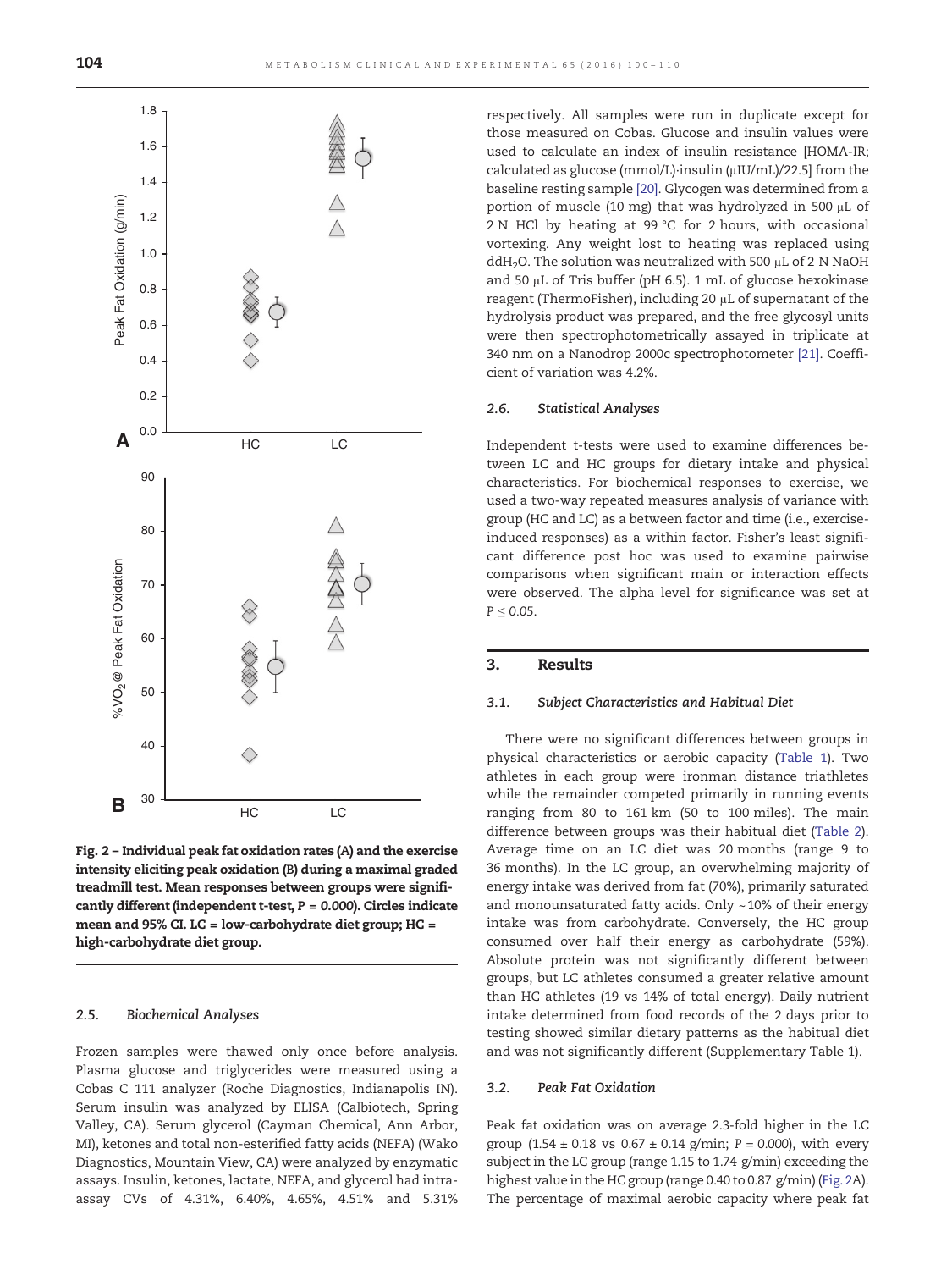<span id="page-4-0"></span>

Fig. 2 – Individual peak fat oxidation rates (A) and the exercise intensity eliciting peak oxidation (B) during a maximal graded treadmill test. Mean responses between groups were significantly different (independent t-test,  $P = 0.000$ ). Circles indicate mean and 95% CI. LC = low-carbohydrate diet group; HC = high-carbohydrate diet group.

#### 2.5. Biochemical Analyses

Frozen samples were thawed only once before analysis. Plasma glucose and triglycerides were measured using a Cobas C 111 analyzer (Roche Diagnostics, Indianapolis IN). Serum insulin was analyzed by ELISA (Calbiotech, Spring Valley, CA). Serum glycerol (Cayman Chemical, Ann Arbor, MI), ketones and total non-esterified fatty acids (NEFA) (Wako Diagnostics, Mountain View, CA) were analyzed by enzymatic assays. Insulin, ketones, lactate, NEFA, and glycerol had intraassay CVs of 4.31%, 6.40%, 4.65%, 4.51% and 5.31% respectively. All samples were run in duplicate except for those measured on Cobas. Glucose and insulin values were used to calculate an index of insulin resistance [HOMA-IR; calculated as glucose (mmol/L)∙insulin (μIU/mL)/22.5] from the baseline resting sample [\[20\].](#page-10-0) Glycogen was determined from a portion of muscle (10 mg) that was hydrolyzed in 500 μL of 2 N HCl by heating at 99 °C for 2 hours, with occasional vortexing. Any weight lost to heating was replaced using ddH<sub>2</sub>O. The solution was neutralized with 500  $\mu$ L of 2 N NaOH and 50 μL of Tris buffer (pH 6.5). 1 mL of glucose hexokinase reagent (ThermoFisher), including 20 μL of supernatant of the hydrolysis product was prepared, and the free glycosyl units were then spectrophotometrically assayed in triplicate at 340 nm on a Nanodrop 2000c spectrophotometer [\[21\]](#page-10-0). Coefficient of variation was 4.2%.

#### 2.6. Statistical Analyses

Independent t-tests were used to examine differences between LC and HC groups for dietary intake and physical characteristics. For biochemical responses to exercise, we used a two-way repeated measures analysis of variance with group (HC and LC) as a between factor and time (i.e., exerciseinduced responses) as a within factor. Fisher's least significant difference post hoc was used to examine pairwise comparisons when significant main or interaction effects were observed. The alpha level for significance was set at  $P \leq 0.05$ .

#### 3. Results

#### 3.1. Subject Characteristics and Habitual Diet

There were no significant differences between groups in physical characteristics or aerobic capacity ([Table 1](#page-3-0)). Two athletes in each group were ironman distance triathletes while the remainder competed primarily in running events ranging from 80 to 161 km (50 to 100 miles). The main difference between groups was their habitual diet [\(Table 2\)](#page-3-0). Average time on an LC diet was 20 months (range 9 to 36 months). In the LC group, an overwhelming majority of energy intake was derived from fat (70%), primarily saturated and monounsaturated fatty acids. Only ~10% of their energy intake was from carbohydrate. Conversely, the HC group consumed over half their energy as carbohydrate (59%). Absolute protein was not significantly different between groups, but LC athletes consumed a greater relative amount than HC athletes (19 vs 14% of total energy). Daily nutrient intake determined from food records of the 2 days prior to testing showed similar dietary patterns as the habitual diet and was not significantly different (Supplementary Table 1).

#### 3.2. Peak Fat Oxidation

Peak fat oxidation was on average 2.3-fold higher in the LC group  $(1.54 \pm 0.18 \text{ vs } 0.67 \pm 0.14 \text{ g/min}; P = 0.000)$ , with every subject in the LC group (range 1.15 to 1.74 g/min) exceeding the highest value in the HC group (range 0.40 to 0.87 g/min) (Fig. 2A). The percentage of maximal aerobic capacity where peak fat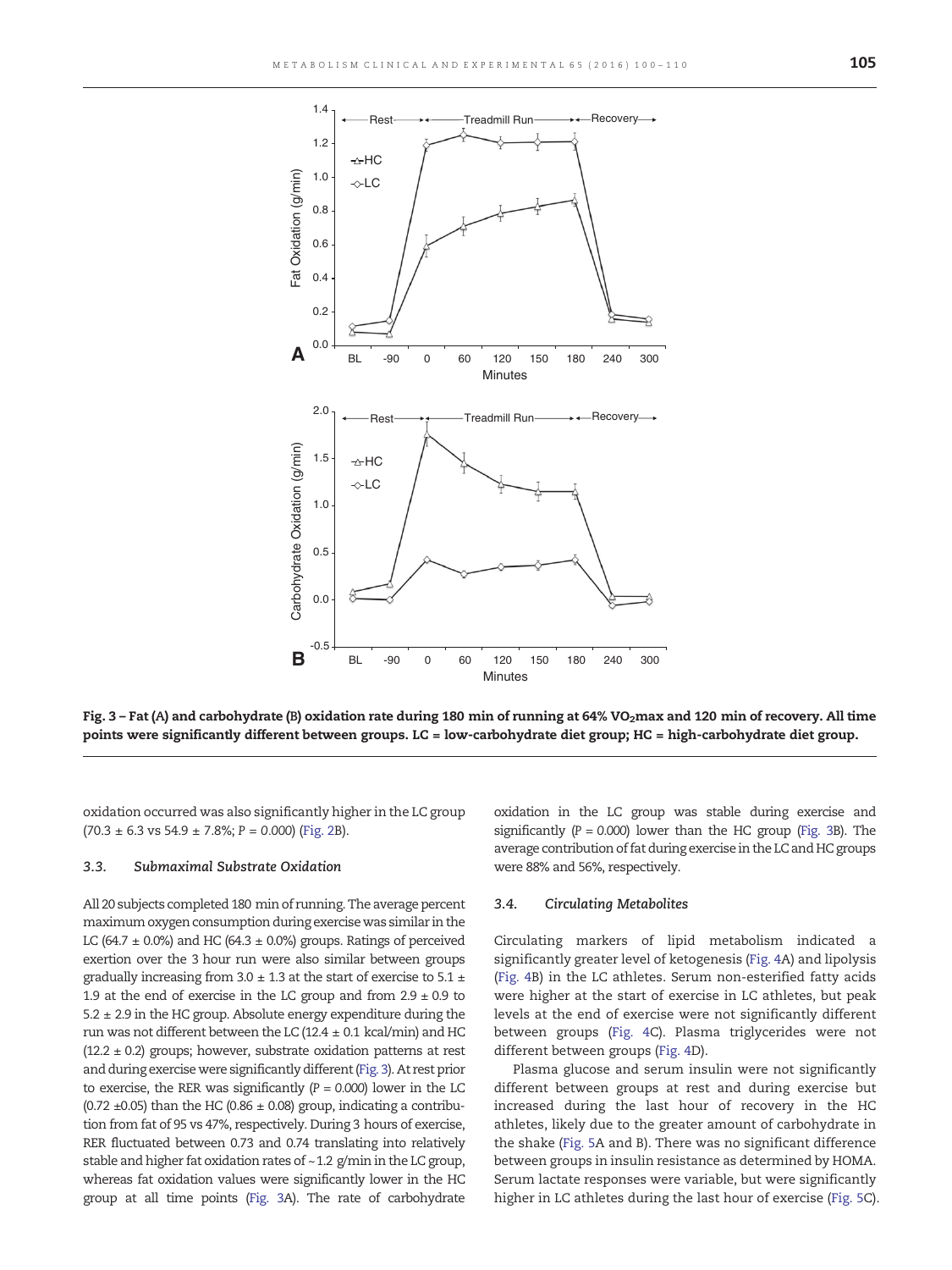

Fig. 3 – Fat (A) and carbohydrate (B) oxidation rate during 180 min of running at 64% VO<sub>2</sub>max and 120 min of recovery. All time points were significantly different between groups. LC = low-carbohydrate diet group; HC = high-carbohydrate diet group.

oxidation occurred was also significantly higher in the LC group  $(70.3 \pm 6.3 \text{ vs } 54.9 \pm 7.8\%; P = 0.000)$  [\(Fig. 2B](#page-4-0)).

#### 3.3. Submaximal Substrate Oxidation

All 20 subjects completed 180 min of running. The average percent maximum oxygen consumption during exercise was similar in the LC (64.7  $\pm$  0.0%) and HC (64.3  $\pm$  0.0%) groups. Ratings of perceived exertion over the 3 hour run were also similar between groups gradually increasing from  $3.0 \pm 1.3$  at the start of exercise to  $5.1 \pm 1.5$ 1.9 at the end of exercise in the LC group and from  $2.9 \pm 0.9$  to  $5.2 \pm 2.9$  in the HC group. Absolute energy expenditure during the run was not different between the LC (12.4  $\pm$  0.1 kcal/min) and HC  $(12.2 \pm 0.2)$  groups; however, substrate oxidation patterns at rest and during exercise were significantly different (Fig. 3). At rest prior to exercise, the RER was significantly  $(P = 0.000)$  lower in the LC (0.72  $\pm$ 0.05) than the HC (0.86  $\pm$  0.08) group, indicating a contribution from fat of 95 vs 47%, respectively. During 3 hours of exercise, RER fluctuated between 0.73 and 0.74 translating into relatively stable and higher fat oxidation rates of ~1.2 g/min in the LC group, whereas fat oxidation values were significantly lower in the HC group at all time points (Fig. 3A). The rate of carbohydrate oxidation in the LC group was stable during exercise and significantly  $(P = 0.000)$  lower than the HC group (Fig. 3B). The average contribution of fat during exercise in the LC and HC groups were 88% and 56%, respectively.

#### 3.4. Circulating Metabolites

Circulating markers of lipid metabolism indicated a significantly greater level of ketogenesis ([Fig. 4](#page-6-0)A) and lipolysis ([Fig. 4B](#page-6-0)) in the LC athletes. Serum non-esterified fatty acids were higher at the start of exercise in LC athletes, but peak levels at the end of exercise were not significantly different between groups ([Fig. 4C](#page-6-0)). Plasma triglycerides were not different between groups [\(Fig. 4](#page-6-0)D).

Plasma glucose and serum insulin were not significantly different between groups at rest and during exercise but increased during the last hour of recovery in the HC athletes, likely due to the greater amount of carbohydrate in the shake [\(Fig. 5](#page-7-0)A and B). There was no significant difference between groups in insulin resistance as determined by HOMA. Serum lactate responses were variable, but were significantly higher in LC athletes during the last hour of exercise ([Fig. 5C](#page-7-0)).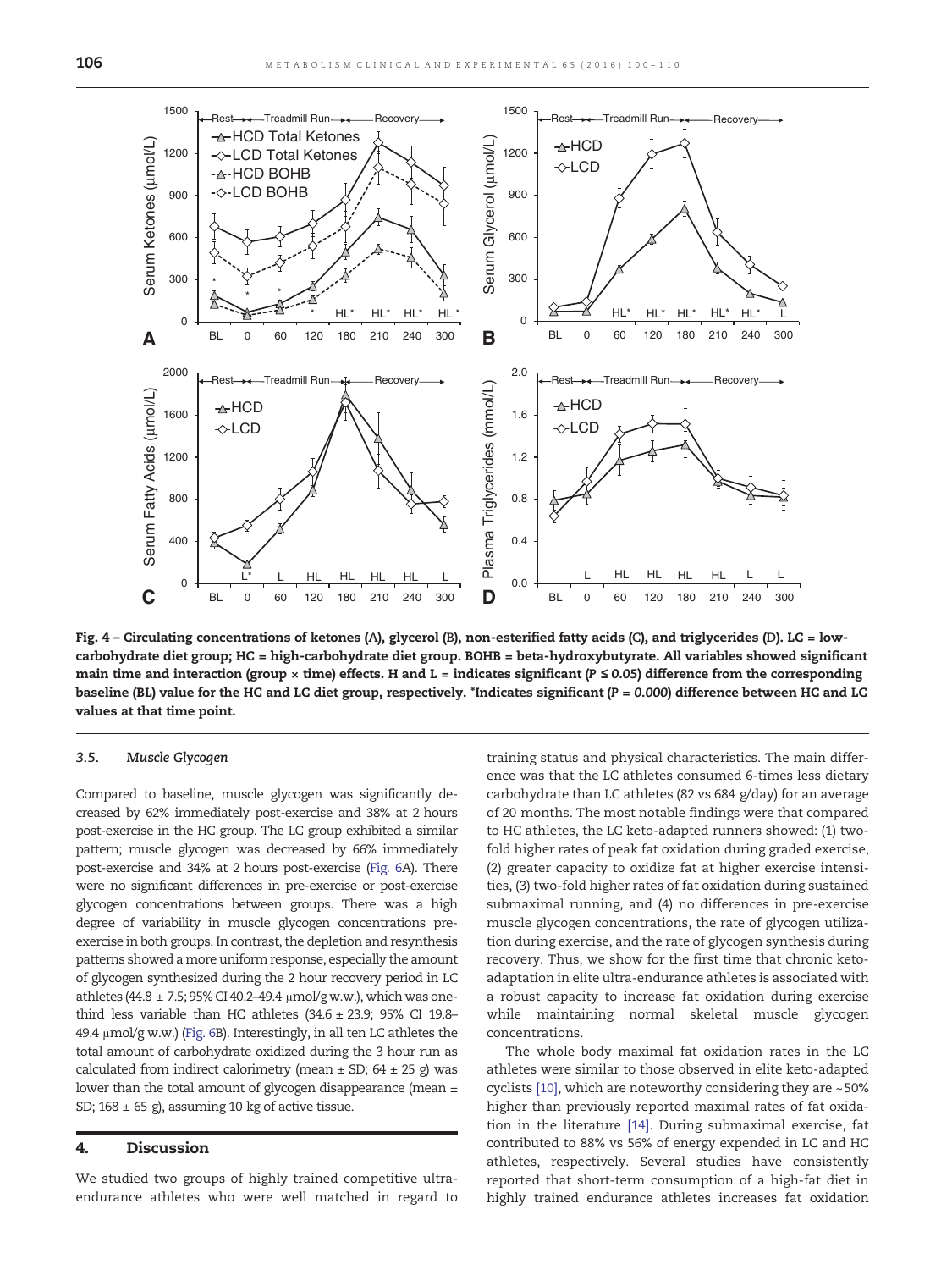<span id="page-6-0"></span>

Fig. 4 – Circulating concentrations of ketones (A), glycerol (B), non-esterified fatty acids (C), and triglycerides (D). LC = lowcarbohydrate diet group; HC = high-carbohydrate diet group. BOHB = beta-hydroxybutyrate. All variables showed significant main time and interaction (group × time) effects. H and L = indicates significant ( $P \le 0.05$ ) difference from the corresponding baseline (BL) value for the HC and LC diet group, respectively. \*Indicates significant (P = 0.000) difference between HC and LC values at that time point.

#### 3.5. Muscle Glycogen

Compared to baseline, muscle glycogen was significantly decreased by 62% immediately post-exercise and 38% at 2 hours post-exercise in the HC group. The LC group exhibited a similar pattern; muscle glycogen was decreased by 66% immediately post-exercise and 34% at 2 hours post-exercise [\(Fig. 6A](#page-8-0)). There were no significant differences in pre-exercise or post-exercise glycogen concentrations between groups. There was a high degree of variability in muscle glycogen concentrations preexercise in both groups. In contrast, the depletion and resynthesis patterns showed a more uniform response, especially the amount of glycogen synthesized during the 2 hour recovery period in LC athletes (44.8  $\pm$  7.5; 95% CI 40.2-49.4  $\mu$ mol/g w.w.), which was onethird less variable than HC athletes  $(34.6 \pm 23.9; 95\%$  CI 19.8– 49.4 μmol/g w.w.) [\(Fig. 6](#page-8-0)B). Interestingly, in all ten LC athletes the total amount of carbohydrate oxidized during the 3 hour run as calculated from indirect calorimetry (mean  $\pm$  SD; 64  $\pm$  25 g) was lower than the total amount of glycogen disappearance (mean  $\pm$ SD;  $168 \pm 65$  g), assuming 10 kg of active tissue.

### 4. Discussion

We studied two groups of highly trained competitive ultraendurance athletes who were well matched in regard to training status and physical characteristics. The main difference was that the LC athletes consumed 6-times less dietary carbohydrate than LC athletes (82 vs 684 g/day) for an average of 20 months. The most notable findings were that compared to HC athletes, the LC keto-adapted runners showed: (1) twofold higher rates of peak fat oxidation during graded exercise, (2) greater capacity to oxidize fat at higher exercise intensities, (3) two-fold higher rates of fat oxidation during sustained submaximal running, and (4) no differences in pre-exercise muscle glycogen concentrations, the rate of glycogen utilization during exercise, and the rate of glycogen synthesis during recovery. Thus, we show for the first time that chronic ketoadaptation in elite ultra-endurance athletes is associated with a robust capacity to increase fat oxidation during exercise while maintaining normal skeletal muscle glycogen concentrations.

The whole body maximal fat oxidation rates in the LC athletes were similar to those observed in elite keto-adapted cyclists [\[10\]](#page-9-0), which are noteworthy considering they are ~50% higher than previously reported maximal rates of fat oxidation in the literature [\[14\]](#page-9-0). During submaximal exercise, fat contributed to 88% vs 56% of energy expended in LC and HC athletes, respectively. Several studies have consistently reported that short-term consumption of a high-fat diet in highly trained endurance athletes increases fat oxidation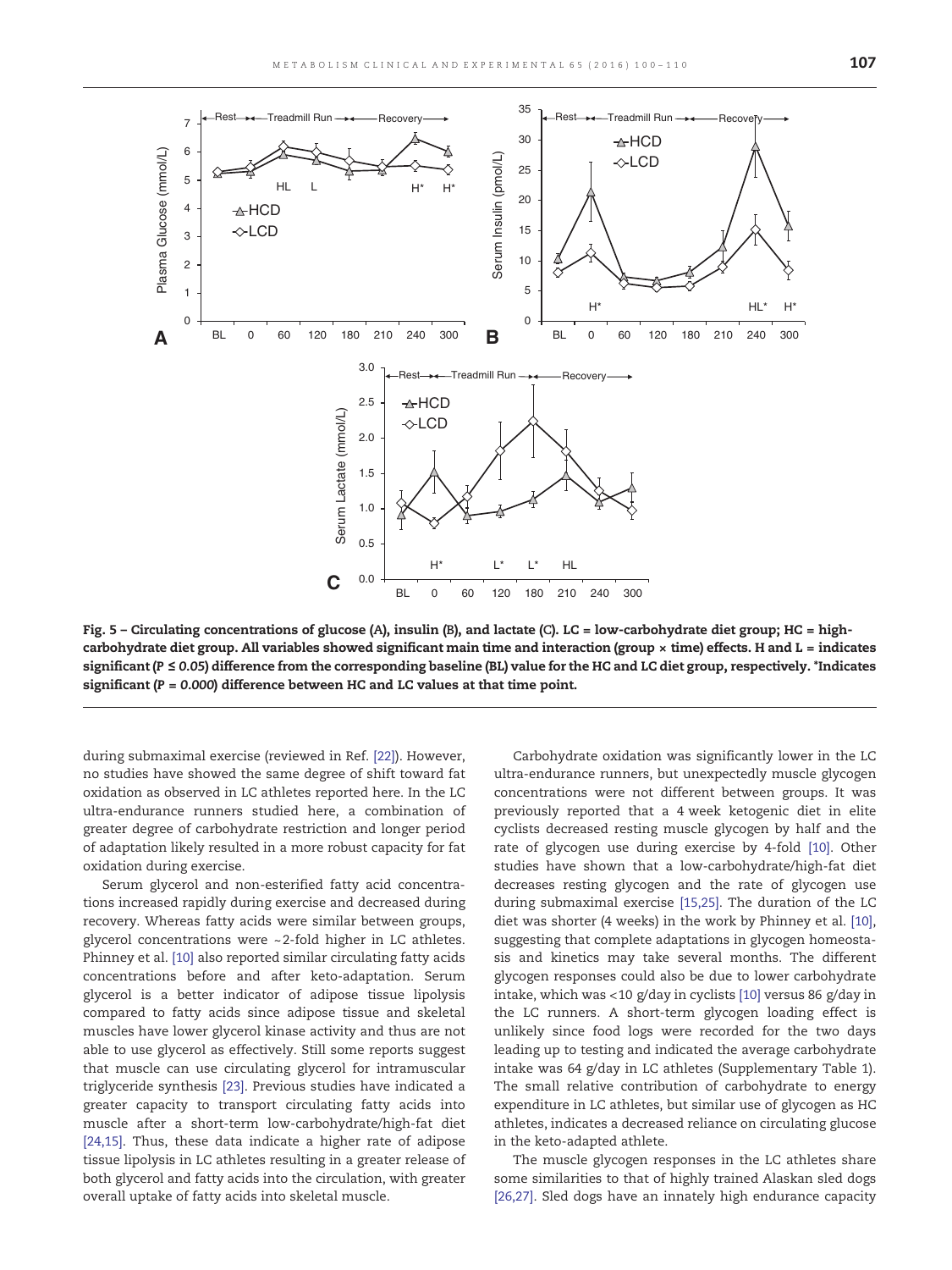<span id="page-7-0"></span>

Fig. 5 – Circulating concentrations of glucose (A), insulin (B), and lactate (C). LC = low-carbohydrate diet group; HC = highcarbohydrate diet group. All variables showed significant main time and interaction (group  $\times$  time) effects. H and L = indicates significant (P ≤ 0.05) difference from the corresponding baseline (BL) value for the HC and LC diet group, respectively. \*Indicates significant ( $P = 0.000$ ) difference between HC and LC values at that time point.

during submaximal exercise (reviewed in Ref. [\[22\]\)](#page-10-0). However, no studies have showed the same degree of shift toward fat oxidation as observed in LC athletes reported here. In the LC ultra-endurance runners studied here, a combination of greater degree of carbohydrate restriction and longer period of adaptation likely resulted in a more robust capacity for fat oxidation during exercise.

Serum glycerol and non-esterified fatty acid concentrations increased rapidly during exercise and decreased during recovery. Whereas fatty acids were similar between groups, glycerol concentrations were ~2-fold higher in LC athletes. Phinney et al. [\[10\]](#page-9-0) also reported similar circulating fatty acids concentrations before and after keto-adaptation. Serum glycerol is a better indicator of adipose tissue lipolysis compared to fatty acids since adipose tissue and skeletal muscles have lower glycerol kinase activity and thus are not able to use glycerol as effectively. Still some reports suggest that muscle can use circulating glycerol for intramuscular triglyceride synthesis [\[23\].](#page-10-0) Previous studies have indicated a greater capacity to transport circulating fatty acids into muscle after a short-term low-carbohydrate/high-fat diet [\[24,15\].](#page-10-0) Thus, these data indicate a higher rate of adipose tissue lipolysis in LC athletes resulting in a greater release of both glycerol and fatty acids into the circulation, with greater overall uptake of fatty acids into skeletal muscle.

Carbohydrate oxidation was significantly lower in the LC ultra-endurance runners, but unexpectedly muscle glycogen concentrations were not different between groups. It was previously reported that a 4 week ketogenic diet in elite cyclists decreased resting muscle glycogen by half and the rate of glycogen use during exercise by 4-fold [\[10\]](#page-9-0). Other studies have shown that a low-carbohydrate/high-fat diet decreases resting glycogen and the rate of glycogen use during submaximal exercise [\[15,25\].](#page-9-0) The duration of the LC diet was shorter (4 weeks) in the work by Phinney et al. [\[10\],](#page-9-0) suggesting that complete adaptations in glycogen homeostasis and kinetics may take several months. The different glycogen responses could also be due to lower carbohydrate intake, which was <10 g/day in cyclists [\[10\]](#page-9-0) versus 86 g/day in the LC runners. A short-term glycogen loading effect is unlikely since food logs were recorded for the two days leading up to testing and indicated the average carbohydrate intake was 64 g/day in LC athletes (Supplementary Table 1). The small relative contribution of carbohydrate to energy expenditure in LC athletes, but similar use of glycogen as HC athletes, indicates a decreased reliance on circulating glucose in the keto-adapted athlete.

The muscle glycogen responses in the LC athletes share some similarities to that of highly trained Alaskan sled dogs [\[26,27\].](#page-10-0) Sled dogs have an innately high endurance capacity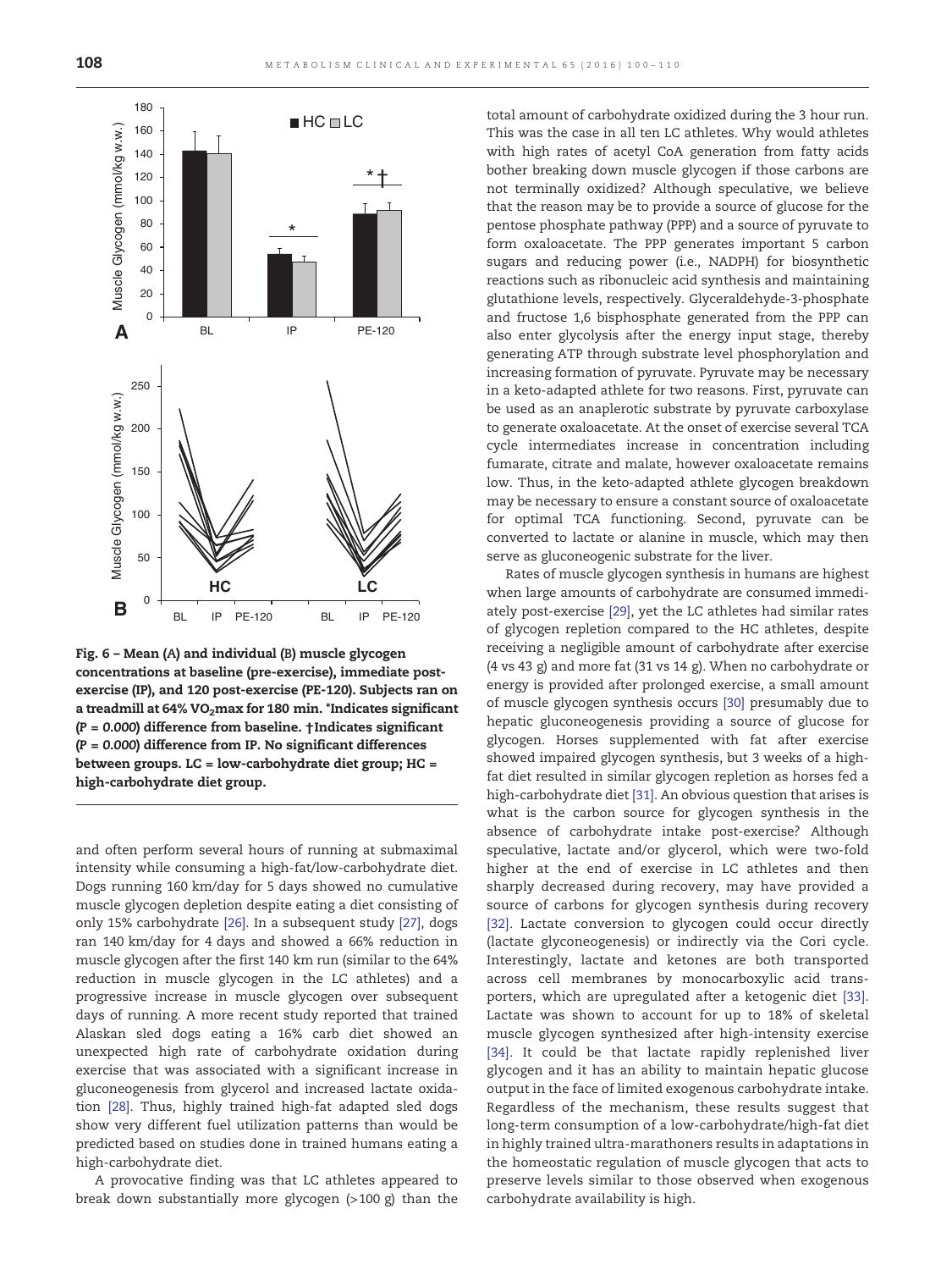<span id="page-8-0"></span>

Fig. 6 – Mean (A) and individual (B) muscle glycogen concentrations at baseline (pre-exercise), immediate postexercise (IP), and 120 post-exercise (PE-120). Subjects ran on a treadmill at  $64\%$  VO<sub>2</sub>max for 180 min. \*Indicates significant  $(P = 0.000)$  difference from baseline.  $\dagger$ Indicates significant  $(P = 0.000)$  difference from IP. No significant differences between groups. LC = low-carbohydrate diet group; HC = high-carbohydrate diet group.

and often perform several hours of running at submaximal intensity while consuming a high-fat/low-carbohydrate diet. Dogs running 160 km/day for 5 days showed no cumulative muscle glycogen depletion despite eating a diet consisting of only 15% carbohydrate [\[26\]](#page-10-0). In a subsequent study [\[27\],](#page-10-0) dogs ran 140 km/day for 4 days and showed a 66% reduction in muscle glycogen after the first 140 km run (similar to the 64% reduction in muscle glycogen in the LC athletes) and a progressive increase in muscle glycogen over subsequent days of running. A more recent study reported that trained Alaskan sled dogs eating a 16% carb diet showed an unexpected high rate of carbohydrate oxidation during exercise that was associated with a significant increase in gluconeogenesis from glycerol and increased lactate oxidation [\[28\]](#page-10-0). Thus, highly trained high-fat adapted sled dogs show very different fuel utilization patterns than would be predicted based on studies done in trained humans eating a high-carbohydrate diet.

A provocative finding was that LC athletes appeared to break down substantially more glycogen (>100 g) than the total amount of carbohydrate oxidized during the 3 hour run. This was the case in all ten LC athletes. Why would athletes with high rates of acetyl CoA generation from fatty acids bother breaking down muscle glycogen if those carbons are not terminally oxidized? Although speculative, we believe that the reason may be to provide a source of glucose for the pentose phosphate pathway (PPP) and a source of pyruvate to form oxaloacetate. The PPP generates important 5 carbon sugars and reducing power (i.e., NADPH) for biosynthetic reactions such as ribonucleic acid synthesis and maintaining glutathione levels, respectively. Glyceraldehyde-3-phosphate and fructose 1,6 bisphosphate generated from the PPP can also enter glycolysis after the energy input stage, thereby generating ATP through substrate level phosphorylation and increasing formation of pyruvate. Pyruvate may be necessary in a keto-adapted athlete for two reasons. First, pyruvate can be used as an anaplerotic substrate by pyruvate carboxylase to generate oxaloacetate. At the onset of exercise several TCA cycle intermediates increase in concentration including fumarate, citrate and malate, however oxaloacetate remains low. Thus, in the keto-adapted athlete glycogen breakdown may be necessary to ensure a constant source of oxaloacetate for optimal TCA functioning. Second, pyruvate can be converted to lactate or alanine in muscle, which may then serve as gluconeogenic substrate for the liver.

Rates of muscle glycogen synthesis in humans are highest when large amounts of carbohydrate are consumed immediately post-exercise [\[29\],](#page-10-0) yet the LC athletes had similar rates of glycogen repletion compared to the HC athletes, despite receiving a negligible amount of carbohydrate after exercise (4 vs 43 g) and more fat (31 vs 14 g). When no carbohydrate or energy is provided after prolonged exercise, a small amount of muscle glycogen synthesis occurs [\[30\]](#page-10-0) presumably due to hepatic gluconeogenesis providing a source of glucose for glycogen. Horses supplemented with fat after exercise showed impaired glycogen synthesis, but 3 weeks of a highfat diet resulted in similar glycogen repletion as horses fed a high-carbohydrate diet [\[31\]](#page-10-0). An obvious question that arises is what is the carbon source for glycogen synthesis in the absence of carbohydrate intake post-exercise? Although speculative, lactate and/or glycerol, which were two-fold higher at the end of exercise in LC athletes and then sharply decreased during recovery, may have provided a source of carbons for glycogen synthesis during recovery [\[32\].](#page-10-0) Lactate conversion to glycogen could occur directly (lactate glyconeogenesis) or indirectly via the Cori cycle. Interestingly, lactate and ketones are both transported across cell membranes by monocarboxylic acid transporters, which are upregulated after a ketogenic diet [\[33\]](#page-10-0). Lactate was shown to account for up to 18% of skeletal muscle glycogen synthesized after high-intensity exercise [\[34\].](#page-10-0) It could be that lactate rapidly replenished liver glycogen and it has an ability to maintain hepatic glucose output in the face of limited exogenous carbohydrate intake. Regardless of the mechanism, these results suggest that long-term consumption of a low-carbohydrate/high-fat diet in highly trained ultra-marathoners results in adaptations in the homeostatic regulation of muscle glycogen that acts to preserve levels similar to those observed when exogenous carbohydrate availability is high.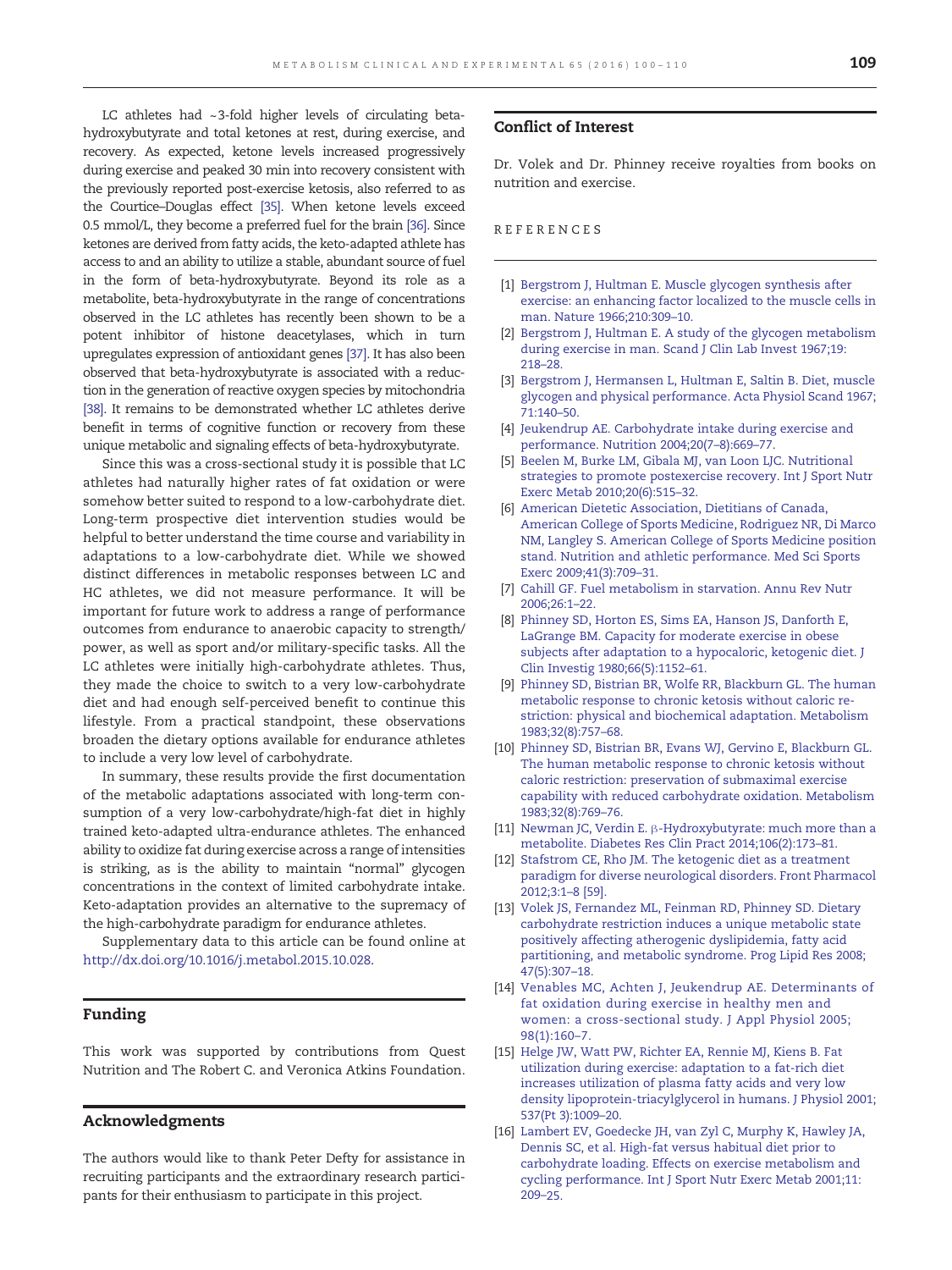<span id="page-9-0"></span>LC athletes had ~3-fold higher levels of circulating betahydroxybutyrate and total ketones at rest, during exercise, and recovery. As expected, ketone levels increased progressively during exercise and peaked 30 min into recovery consistent with the previously reported post-exercise ketosis, also referred to as the Courtice–Douglas effect [\[35\]](#page-10-0). When ketone levels exceed 0.5 mmol/L, they become a preferred fuel for the brain [\[36\]](#page-10-0). Since ketones are derived from fatty acids, the keto-adapted athlete has access to and an ability to utilize a stable, abundant source of fuel in the form of beta-hydroxybutyrate. Beyond its role as a metabolite, beta-hydroxybutyrate in the range of concentrations observed in the LC athletes has recently been shown to be a potent inhibitor of histone deacetylases, which in turn upregulates expression of antioxidant genes [\[37\].](#page-10-0) It has also been observed that beta-hydroxybutyrate is associated with a reduction in the generation of reactive oxygen species by mitochondria [\[38\].](#page-10-0) It remains to be demonstrated whether LC athletes derive benefit in terms of cognitive function or recovery from these unique metabolic and signaling effects of beta-hydroxybutyrate.

Since this was a cross-sectional study it is possible that LC athletes had naturally higher rates of fat oxidation or were somehow better suited to respond to a low-carbohydrate diet. Long-term prospective diet intervention studies would be helpful to better understand the time course and variability in adaptations to a low-carbohydrate diet. While we showed distinct differences in metabolic responses between LC and HC athletes, we did not measure performance. It will be important for future work to address a range of performance outcomes from endurance to anaerobic capacity to strength/ power, as well as sport and/or military-specific tasks. All the LC athletes were initially high-carbohydrate athletes. Thus, they made the choice to switch to a very low-carbohydrate diet and had enough self-perceived benefit to continue this lifestyle. From a practical standpoint, these observations broaden the dietary options available for endurance athletes to include a very low level of carbohydrate.

In summary, these results provide the first documentation of the metabolic adaptations associated with long-term consumption of a very low-carbohydrate/high-fat diet in highly trained keto-adapted ultra-endurance athletes. The enhanced ability to oxidize fat during exercise across a range of intensities is striking, as is the ability to maintain "normal" glycogen concentrations in the context of limited carbohydrate intake. Keto-adaptation provides an alternative to the supremacy of the high-carbohydrate paradigm for endurance athletes.

Supplementary data to this article can be found online at http://dx.doi.org/10.1016/j.metabol.2015.10.028.

#### Funding

This work was supported by contributions from Quest Nutrition and The Robert C. and Veronica Atkins Foundation.

#### Acknowledgments

The authors would like to thank Peter Defty for assistance in recruiting participants and the extraordinary research participants for their enthusiasm to participate in this project.

#### Conflict of Interest

Dr. Volek and Dr. Phinney receive royalties from books on nutrition and exercise.

### REFERENCES

- [1] [Bergstrom J, Hultman E. Muscle glycogen synthesis after](http://refhub.elsevier.com/S0026-0495(15)00334-0/rf0005) [exercise: an enhancing factor localized to the muscle cells in](http://refhub.elsevier.com/S0026-0495(15)00334-0/rf0005) [man. Nature 1966;210:309](http://refhub.elsevier.com/S0026-0495(15)00334-0/rf0005)–10.
- [2] [Bergstrom J, Hultman E. A study of the glycogen metabolism](http://refhub.elsevier.com/S0026-0495(15)00334-0/rf0010) [during exercise in man. Scand J Clin Lab Invest 1967;19:](http://refhub.elsevier.com/S0026-0495(15)00334-0/rf0010) [218](http://refhub.elsevier.com/S0026-0495(15)00334-0/rf0010)–28.
- [3] [Bergstrom J, Hermansen L, Hultman E, Saltin B. Diet, muscle](http://refhub.elsevier.com/S0026-0495(15)00334-0/rf0015) [glycogen and physical performance. Acta Physiol Scand 1967;](http://refhub.elsevier.com/S0026-0495(15)00334-0/rf0015) [71:140](http://refhub.elsevier.com/S0026-0495(15)00334-0/rf0015)–50.
- [4] [Jeukendrup AE. Carbohydrate intake during exercise and](http://refhub.elsevier.com/S0026-0495(15)00334-0/rf0020) [performance. Nutrition 2004;20\(7](http://refhub.elsevier.com/S0026-0495(15)00334-0/rf0020)–8):669–77.
- [5] [Beelen M, Burke LM, Gibala MJ, van Loon LJC. Nutritional](http://refhub.elsevier.com/S0026-0495(15)00334-0/rf0025) [strategies to promote postexercise recovery. Int J Sport Nutr](http://refhub.elsevier.com/S0026-0495(15)00334-0/rf0025) [Exerc Metab 2010;20\(6\):515](http://refhub.elsevier.com/S0026-0495(15)00334-0/rf0025)–32.
- [6] [American Dietetic Association, Dietitians of Canada,](http://refhub.elsevier.com/S0026-0495(15)00334-0/rf0185) [American College of Sports Medicine, Rodriguez NR, Di Marco](http://refhub.elsevier.com/S0026-0495(15)00334-0/rf0185) [NM, Langley S. American College of Sports Medicine position](http://refhub.elsevier.com/S0026-0495(15)00334-0/rf0185) [stand. Nutrition and athletic performance. Med Sci Sports](http://refhub.elsevier.com/S0026-0495(15)00334-0/rf0185) [Exerc 2009;41\(3\):709](http://refhub.elsevier.com/S0026-0495(15)00334-0/rf0185)–31.
- [7] [Cahill GF. Fuel metabolism in starvation. Annu Rev Nutr](http://refhub.elsevier.com/S0026-0495(15)00334-0/rf0030) [2006;26:1](http://refhub.elsevier.com/S0026-0495(15)00334-0/rf0030)–22.
- [8] [Phinney SD, Horton ES, Sims EA, Hanson JS, Danforth E,](http://refhub.elsevier.com/S0026-0495(15)00334-0/rf0035) [LaGrange BM. Capacity for moderate exercise in obese](http://refhub.elsevier.com/S0026-0495(15)00334-0/rf0035) [subjects after adaptation to a hypocaloric, ketogenic diet. J](http://refhub.elsevier.com/S0026-0495(15)00334-0/rf0035) [Clin Investig 1980;66\(5\):1152](http://refhub.elsevier.com/S0026-0495(15)00334-0/rf0035)–61.
- [9] [Phinney SD, Bistrian BR, Wolfe RR, Blackburn GL. The human](http://refhub.elsevier.com/S0026-0495(15)00334-0/rf0040) [metabolic response to chronic ketosis without caloric re](http://refhub.elsevier.com/S0026-0495(15)00334-0/rf0040)[striction: physical and biochemical adaptation. Metabolism](http://refhub.elsevier.com/S0026-0495(15)00334-0/rf0040) [1983;32\(8\):757](http://refhub.elsevier.com/S0026-0495(15)00334-0/rf0040)–68.
- [10] [Phinney SD, Bistrian BR, Evans WJ, Gervino E, Blackburn GL.](http://refhub.elsevier.com/S0026-0495(15)00334-0/rf0045) [The human metabolic response to chronic ketosis without](http://refhub.elsevier.com/S0026-0495(15)00334-0/rf0045) [caloric restriction: preservation of submaximal exercise](http://refhub.elsevier.com/S0026-0495(15)00334-0/rf0045) [capability with reduced carbohydrate oxidation. Metabolism](http://refhub.elsevier.com/S0026-0495(15)00334-0/rf0045) [1983;32\(8\):769](http://refhub.elsevier.com/S0026-0495(15)00334-0/rf0045)–76.
- [11] Newman JC, Verdin E. β[-Hydroxybutyrate: much more than a](http://refhub.elsevier.com/S0026-0495(15)00334-0/rf0050) [metabolite. Diabetes Res Clin Pract 2014;106\(2\):173](http://refhub.elsevier.com/S0026-0495(15)00334-0/rf0050)–81.
- [12] [Stafstrom CE, Rho JM. The ketogenic diet as a treatment](http://refhub.elsevier.com/S0026-0495(15)00334-0/rf0055) [paradigm for diverse neurological disorders. Front Pharmacol](http://refhub.elsevier.com/S0026-0495(15)00334-0/rf0055) [2012;3:1](http://refhub.elsevier.com/S0026-0495(15)00334-0/rf0055)–8 [59].
- [13] [Volek JS, Fernandez ML, Feinman RD, Phinney SD. Dietary](http://refhub.elsevier.com/S0026-0495(15)00334-0/rf0060) [carbohydrate restriction induces a unique metabolic state](http://refhub.elsevier.com/S0026-0495(15)00334-0/rf0060) [positively affecting atherogenic dyslipidemia, fatty acid](http://refhub.elsevier.com/S0026-0495(15)00334-0/rf0060) [partitioning, and metabolic syndrome. Prog Lipid Res 2008;](http://refhub.elsevier.com/S0026-0495(15)00334-0/rf0060) [47\(5\):307](http://refhub.elsevier.com/S0026-0495(15)00334-0/rf0060)–18.
- [14] [Venables MC, Achten J, Jeukendrup AE. Determinants of](http://refhub.elsevier.com/S0026-0495(15)00334-0/rf0065) [fat oxidation during exercise in healthy men and](http://refhub.elsevier.com/S0026-0495(15)00334-0/rf0065) [women: a cross-sectional study. J Appl Physiol 2005;](http://refhub.elsevier.com/S0026-0495(15)00334-0/rf0065) [98\(1\):160](http://refhub.elsevier.com/S0026-0495(15)00334-0/rf0065)–7.
- [15] [Helge JW, Watt PW, Richter EA, Rennie MJ, Kiens B. Fat](http://refhub.elsevier.com/S0026-0495(15)00334-0/rf0070) [utilization during exercise: adaptation to a fat-rich diet](http://refhub.elsevier.com/S0026-0495(15)00334-0/rf0070) [increases utilization of plasma fatty acids and very low](http://refhub.elsevier.com/S0026-0495(15)00334-0/rf0070) [density lipoprotein-triacylglycerol in humans. J Physiol 2001;](http://refhub.elsevier.com/S0026-0495(15)00334-0/rf0070) [537\(Pt 3\):1009](http://refhub.elsevier.com/S0026-0495(15)00334-0/rf0070)–20.
- [16] [Lambert EV, Goedecke JH, van Zyl C, Murphy K, Hawley JA,](http://refhub.elsevier.com/S0026-0495(15)00334-0/rf0075) [Dennis SC, et al. High-fat versus habitual diet prior to](http://refhub.elsevier.com/S0026-0495(15)00334-0/rf0075) [carbohydrate loading. Effects on exercise metabolism and](http://refhub.elsevier.com/S0026-0495(15)00334-0/rf0075) [cycling performance. Int J Sport Nutr Exerc Metab 2001;11:](http://refhub.elsevier.com/S0026-0495(15)00334-0/rf0075) [209](http://refhub.elsevier.com/S0026-0495(15)00334-0/rf0075)–25.